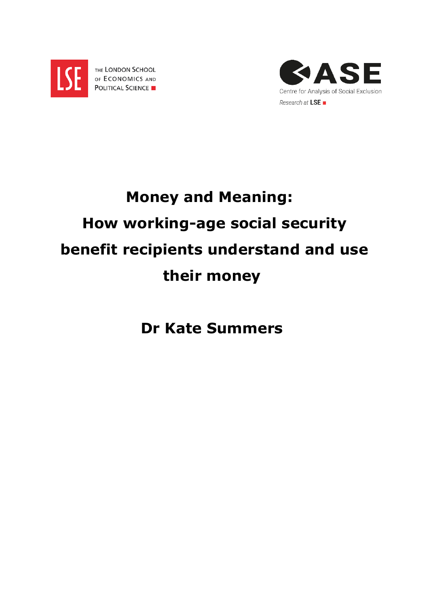

THE LONDON SCHOOL OF ECONOMICS AND POLITICAL SCIENCE



# **Money and Meaning: How working-age social security benefit recipients understand and use their money**

**Dr Kate Summers**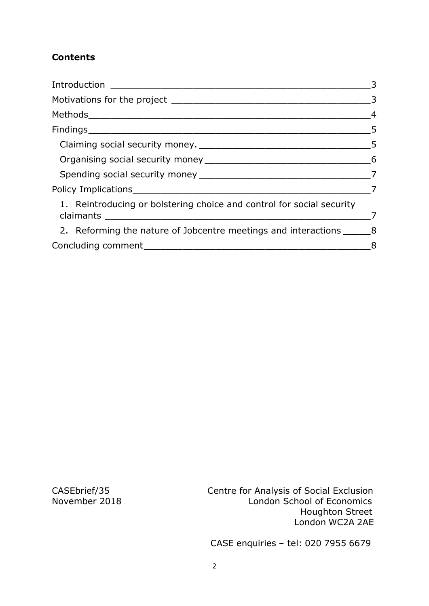# **Contents**

| Introduction                                                          | 3                          |
|-----------------------------------------------------------------------|----------------------------|
|                                                                       | $\overline{\phantom{a}}$ 3 |
| $\overline{4}$                                                        |                            |
|                                                                       | 5                          |
|                                                                       |                            |
|                                                                       |                            |
|                                                                       |                            |
|                                                                       |                            |
| 1. Reintroducing or bolstering choice and control for social security |                            |
|                                                                       | 7                          |
| 2. Reforming the nature of Jobcentre meetings and interactions 8      |                            |
|                                                                       | 8                          |

CASEbrief/35 Centre for Analysis of Social Exclusion London School of Economics Houghton Street London WC2A 2AE

CASE enquiries – tel: 020 7955 6679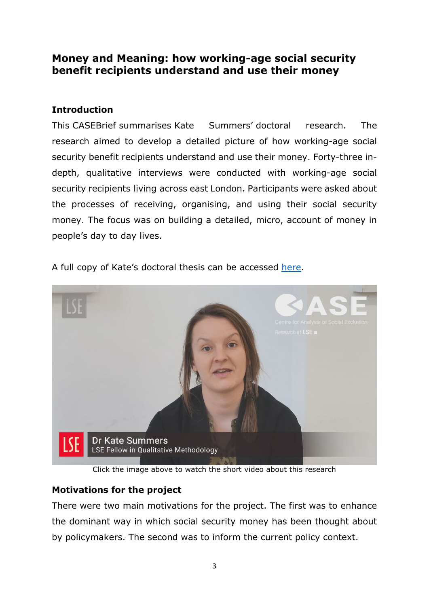# **Money and Meaning: how working-age social security benefit recipients understand and use their money**

# <span id="page-2-0"></span>**Introduction**

This CASEBrief summarises Kate Summers' doctoral research. The research aimed to develop a detailed picture of how working-age social security benefit recipients understand and use their money. Forty-three indepth, qualitative interviews were conducted with working-age social security recipients living across east London. Participants were asked about the processes of receiving, organising, and using their social security money. The focus was on building a detailed, micro, account of money in people's day to day lives.



A full copy of Kate's doctoral thesis can be accessed [here.](http://etheses.lse.ac.uk/3794/)

Click the image above to watch the short video about this research

## <span id="page-2-1"></span>**Motivations for the project**

There were two main motivations for the project. The first was to enhance the dominant way in which social security money has been thought about by policymakers. The second was to inform the current policy context.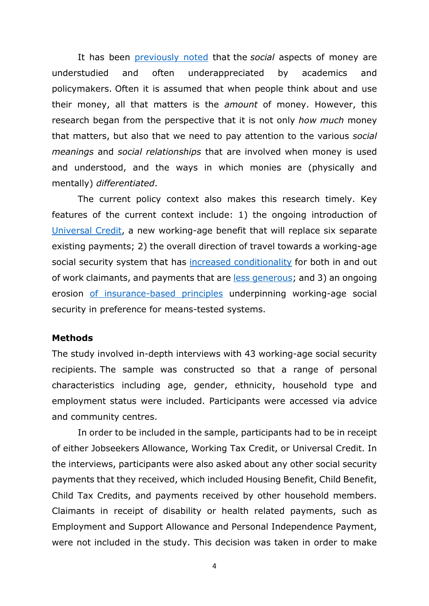It has been [previously noted](https://lareviewofbooks.org/article/a-dollar-is-a-dollar-is-not-a-dollar-unmasking-the-social-and-moral-meanings-of-money/#!) that the *social* aspects of money are understudied and often underappreciated by academics and policymakers. Often it is assumed that when people think about and use their money, all that matters is the *amount* of money. However, this research began from the perspective that it is not only *how much* money that matters, but also that we need to pay attention to the various *social meanings* and *social relationships* that are involved when money is used and understood, and the ways in which monies are (physically and mentally) *differentiated*.

The current policy context also makes this research timely. Key features of the current context include: 1) the ongoing introduction of [Universal Credit,](https://obr.uk/docs/dlm_uploads/WelfareTrends2018cm9562.pdf) a new working-age benefit that will replace six separate existing payments; 2) the overall direction of travel towards a working-age social security system that has [increased conditionality](http://www.welfareconditionality.ac.uk/wp-content/uploads/2018/06/40475_Welfare-Conditionality_Report_complete-v3.pdf) for both in and out of work claimants, and payments that are [less generous;](https://www.jrf.org.uk/report/minimum-income-standard-uk-2018) and 3) an ongoing erosion [of insurance-based principles](http://eprints.lse.ac.uk/5563/1/Inclusion_or_Insurance_National_Insurance_and_the_future_of_the_contributory_principle.pdf) underpinning working-age social security in preference for means-tested systems.

#### <span id="page-3-0"></span>**Methods**

The study involved in-depth interviews with 43 working-age social security recipients. The sample was constructed so that a range of personal characteristics including age, gender, ethnicity, household type and employment status were included. Participants were accessed via advice and community centres.

In order to be included in the sample, participants had to be in receipt of either Jobseekers Allowance, Working Tax Credit, or Universal Credit. In the interviews, participants were also asked about any other social security payments that they received, which included Housing Benefit, Child Benefit, Child Tax Credits, and payments received by other household members. Claimants in receipt of disability or health related payments, such as Employment and Support Allowance and Personal Independence Payment, were not included in the study. This decision was taken in order to make

4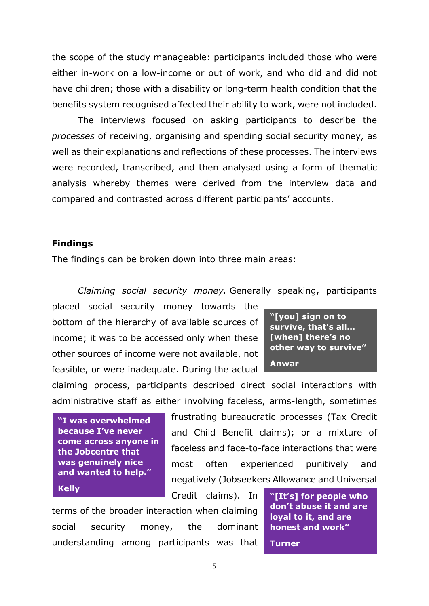the scope of the study manageable: participants included those who were either in-work on a low-income or out of work, and who did and did not have children; those with a disability or long-term health condition that the benefits system recognised affected their ability to work, were not included.

The interviews focused on asking participants to describe the *processes* of receiving, organising and spending social security money, as well as their explanations and reflections of these processes. The interviews were recorded, transcribed, and then analysed using a form of thematic analysis whereby themes were derived from the interview data and compared and contrasted across different participants' accounts.

#### <span id="page-4-0"></span>**Findings**

The findings can be broken down into three main areas:

<span id="page-4-1"></span>*Claiming social security money.* Generally speaking, participants

placed social security money towards the bottom of the hierarchy of available sources of income; it was to be accessed only when these other sources of income were not available, not feasible, or were inadequate. During the actual

**"[you] sign on to survive, that's all… [when] there's no other way to survive" Anwar**

claiming process, participants described direct social interactions with administrative staff as either involving faceless, arms-length, sometimes

**"I was overwhelmed because I've never come across anyone in the Jobcentre that was genuinely nice and wanted to help."**

frustrating bureaucratic processes (Tax Credit and Child Benefit claims); or a mixture of faceless and face-to-face interactions that were most often experienced punitively and negatively (Jobseekers Allowance and Universal

Credit claims). In

terms of the broader interaction when claiming social security money, the dominant understanding among participants was that

**Kelly Example 20 Allows** Credit claims). In **THE THE THE THE WHO CLASS CREDIT CONDUCTS** Credit claims). In **THE THE THE THE WHO ME don't abuse it and are loyal to it, and are honest and work"**

**Turner**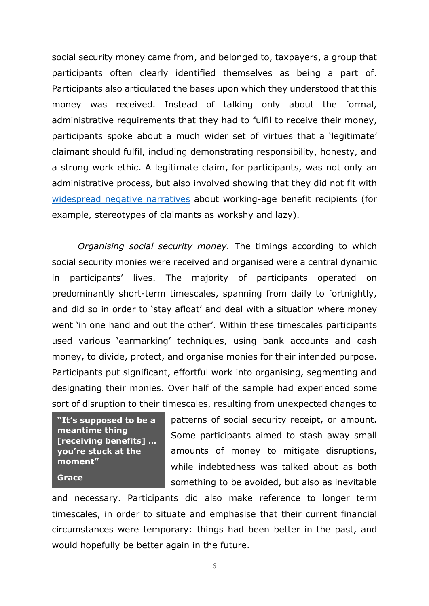social security money came from, and belonged to, taxpayers, a group that participants often clearly identified themselves as being a part of. Participants also articulated the bases upon which they understood that this money was received. Instead of talking only about the formal, administrative requirements that they had to fulfil to receive their money, participants spoke about a much wider set of virtues that a 'legitimate' claimant should fulfil, including demonstrating responsibility, honesty, and a strong work ethic. A legitimate claim, for participants, was not only an administrative process, but also involved showing that they did not fit with [widespread negative narratives](https://pure.york.ac.uk/portal/en/publications/living-with-and-responding-to-the-scrounger-narrative-in-the-uk-exploring-everyday-strategies-of-acceptance-resistance-and-deflection(0db24feb-a78d-4080-ae25-12814608ced3).html) about working-age benefit recipients (for example, stereotypes of claimants as workshy and lazy).

<span id="page-5-0"></span>*Organising social security money.* The timings according to which social security monies were received and organised were a central dynamic in participants' lives. The majority of participants operated on predominantly short-term timescales, spanning from daily to fortnightly, and did so in order to 'stay afloat' and deal with a situation where money went 'in one hand and out the other'. Within these timescales participants used various 'earmarking' techniques, using bank accounts and cash money, to divide, protect, and organise monies for their intended purpose. Participants put significant, effortful work into organising, segmenting and designating their monies. Over half of the sample had experienced some sort of disruption to their timescales, resulting from unexpected changes to

**"It's supposed to be a meantime thing [receiving benefits] … you're stuck at the moment" Grace**

patterns of social security receipt, or amount. Some participants aimed to stash away small amounts of money to mitigate disruptions, while indebtedness was talked about as both something to be avoided, but also as inevitable

and necessary. Participants did also make reference to longer term timescales, in order to situate and emphasise that their current financial circumstances were temporary: things had been better in the past, and would hopefully be better again in the future.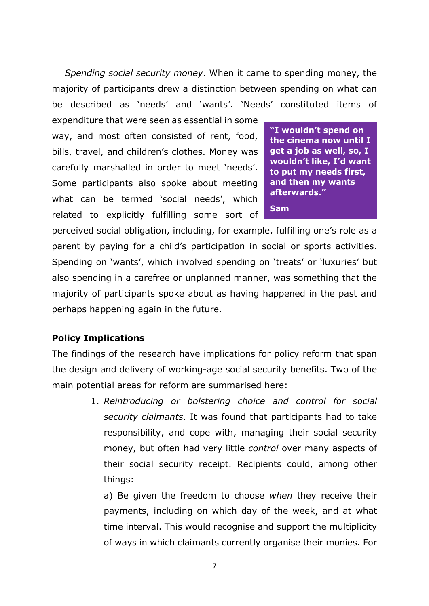<span id="page-6-0"></span>*Spending social security money*. When it came to spending money, the majority of participants drew a distinction between spending on what can be described as 'needs' and 'wants'. 'Needs' constituted items of

expenditure that were seen as essential in some way, and most often consisted of rent, food, bills, travel, and children's clothes. Money was carefully marshalled in order to meet 'needs'. Some participants also spoke about meeting what can be termed 'social needs', which related to explicitly fulfilling some sort of

**"I wouldn't spend on the cinema now until I get a job as well, so, I wouldn't like, I'd want to put my needs first, and then my wants afterwards." Sam**

perceived social obligation, including, for example, fulfilling one's role as a parent by paying for a child's participation in social or sports activities. Spending on 'wants', which involved spending on 'treats' or 'luxuries' but also spending in a carefree or unplanned manner, was something that the majority of participants spoke about as having happened in the past and perhaps happening again in the future.

## <span id="page-6-1"></span>**Policy Implications**

The findings of the research have implications for policy reform that span the design and delivery of working-age social security benefits. Two of the main potential areas for reform are summarised here:

> <span id="page-6-2"></span>1. *Reintroducing or bolstering choice and control for social security claimants*. It was found that participants had to take responsibility, and cope with, managing their social security money, but often had very little *control* over many aspects of their social security receipt. Recipients could, among other things:

a) Be given the freedom to choose *when* they receive their payments, including on which day of the week, and at what time interval. This would recognise and support the multiplicity of ways in which claimants currently organise their monies. For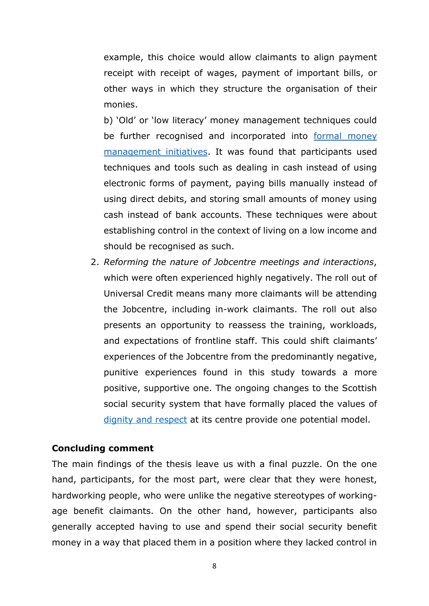example, this choice would allow claimants to align payment receipt with receipt of wages, payment of important bills, or other ways in which they structure the organisation of their monies.

b) 'Old' or 'low literacy' money management techniques could be further recognised and incorporated into formal money [management initiatives.](https://www.moneyadviceservice.org.uk/en/tools/money-manager) It was found that participants used techniques and tools such as dealing in cash instead of using electronic forms of payment, paying bills manually instead of using direct debits, and storing small amounts of money using cash instead of bank accounts. These techniques were about establishing control in the context of living on a low income and should be recognised as such.

<span id="page-7-0"></span>2. *Reforming the nature of Jobcentre meetings and interactions*, which were often experienced highly negatively. The roll out of Universal Credit means many more claimants will be attending the Jobcentre, including in-work claimants. The roll out also presents an opportunity to reassess the training, workloads, and expectations of frontline staff. This could shift claimants' experiences of the Jobcentre from the predominantly negative, punitive experiences found in this study towards a more positive, supportive one. The ongoing changes to the Scottish social security system that have formally placed the values of [dignity and respect](https://news.gov.scot/speeches-and-briefings/ministerial-statement-dignity-and-respect-in-scotlands-social-security-system) at its centre provide one potential model.

## <span id="page-7-1"></span>**Concluding comment**

The main findings of the thesis leave us with a final puzzle. On the one hand, participants, for the most part, were clear that they were honest, hardworking people, who were unlike the negative stereotypes of workingage benefit claimants. On the other hand, however, participants also generally accepted having to use and spend their social security benefit money in a way that placed them in a position where they lacked control in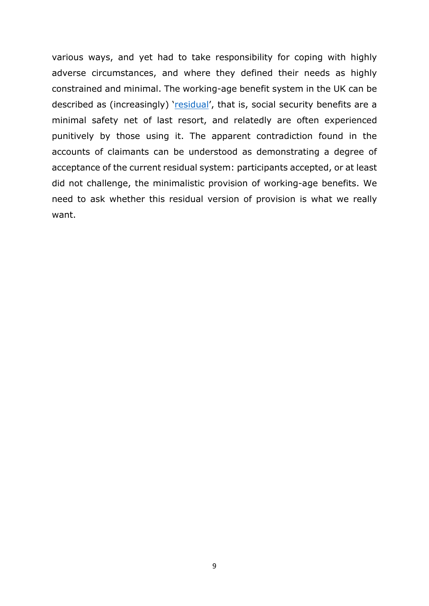various ways, and yet had to take responsibility for coping with highly adverse circumstances, and where they defined their needs as highly constrained and minimal. The working-age benefit system in the UK can be described as (increasingly) ['residual'](http://www.spicker.uk/social-policy/socpol.htm), that is, social security benefits are a minimal safety net of last resort, and relatedly are often experienced punitively by those using it. The apparent contradiction found in the accounts of claimants can be understood as demonstrating a degree of acceptance of the current residual system: participants accepted, or at least did not challenge, the minimalistic provision of working-age benefits. We need to ask whether this residual version of provision is what we really want.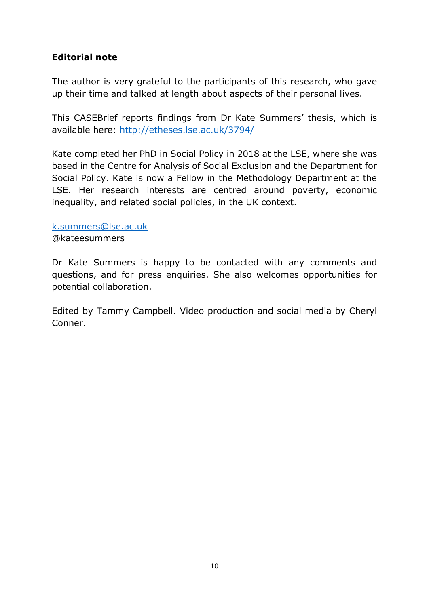# **Editorial note**

The author is very grateful to the participants of this research, who gave up their time and talked at length about aspects of their personal lives.

This CASEBrief reports findings from Dr Kate Summers' thesis, which is available here:<http://etheses.lse.ac.uk/3794/>

Kate completed her PhD in Social Policy in 2018 at the LSE, where she was based in the Centre for Analysis of Social Exclusion and the Department for Social Policy. Kate is now a Fellow in the Methodology Department at the LSE. Her research interests are centred around poverty, economic inequality, and related social policies, in the UK context.

## [k.summers@lse.ac.uk](mailto:k.summers@lse.ac.uk)

@kateesummers

Dr Kate Summers is happy to be contacted with any comments and questions, and for press enquiries. She also welcomes opportunities for potential collaboration.

Edited by Tammy Campbell. Video production and social media by Cheryl Conner.